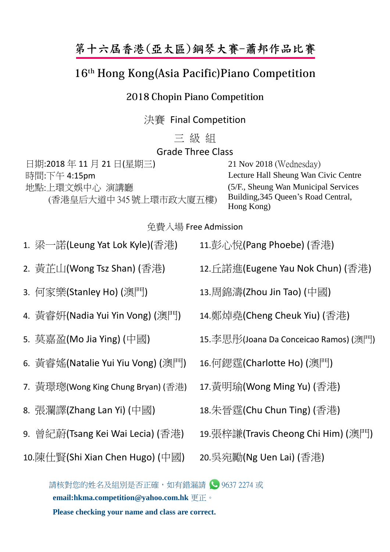# 第十六屆香港(亞太區)鋼琴大賽-蕭邦作品比賽

## 16<sup>th</sup> Hong Kong(Asia Pacific) Piano Competition

### 2018 Chopin Piano Competition

### 決賽 Final Competition

### 三 級 組

### Grade Three Class

日期:2018 年 11 月 21 日(星期三) 21 Nov 2018 (Wednesday) 時間:下午 4:15pm Lecture Hall Sheung Wan Civic Centre 地點:上環文娛中心 演講廳 (香港皇后大道中 345號上環市政大廈五樓)

(5/F., Sheung Wan Municipal Services Building,345 Queen's Road Central, Hong Kong)

#### 免費入場 Free Admission

- 1. 梁一諾(Leung Yat Lok Kyle)(香港)
- 2. 黃芷山(Wong Tsz Shan) (香港)
- 3. 何家樂(Stanley Ho) (澳門)
- 4. 黃睿姸(Nadia Yui Yin Vong) (澳門)
- 5. 莫嘉盈(Mo Jia Ying) (中國)
- 6. 黃睿媱(Natalie Yui Yiu Vong) (澳門)
- 7. 黃璟璁(Wong King Chung Bryan) (香港)
- 8. 張瀾譯(Zhang Lan Yi) (中國)
- 9. 曾紀蔚(Tsang Kei Wai Lecia) (香港)

10.陳仕賢(Shi Xian Chen Hugo) (中國)

- 11.彭心悅(Pang Phoebe) (香港)
- 12.丘諾進(Eugene Yau Nok Chun) (香港)
- 13.周錦濤(Zhou Jin Tao) (中國)
- 14.鄭焯堯(Cheng Cheuk Yiu) (香港)
- 15.李思彤(Joana Da Conceicao Ramos) (澳門)
- 16.何鍶霆(Charlotte Ho) (澳門)
- 17.黃明瑜(Wong Ming Yu) (香港)
- 18.朱晉霆(Chu Chun Ting) (香港)
- 19.張梓謙(Travis Cheong Chi Him) (澳門)
- 20.吳宛勵(Ng Uen Lai) (香港)

請核對您的姓名及組別是否正確,如有錯漏請 ↓ 9637 2274 或 **email:hkma.competition@yahoo.com.hk** 更正。 **Please checking your name and class are correct.**